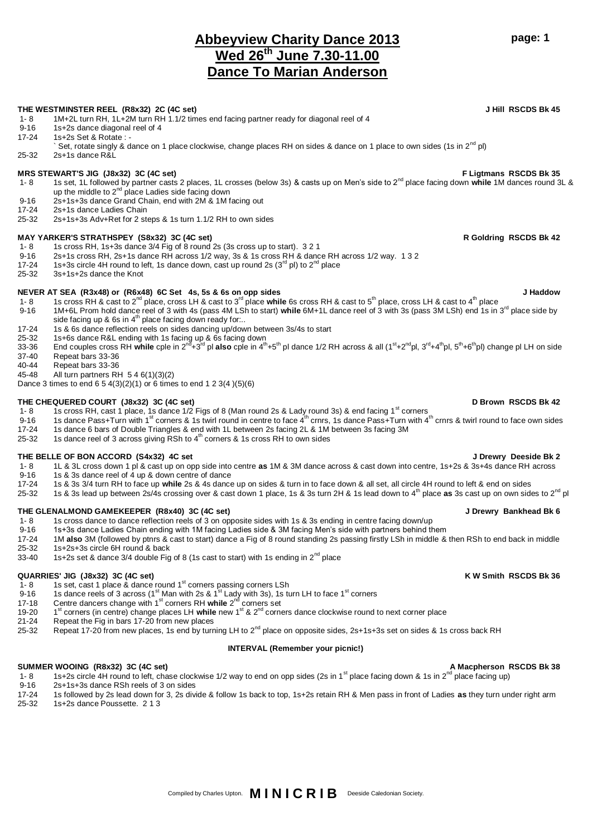# **Abbeyview Charity Dance 2013 Wed 26th June 7.30-11.00 Dance To Marian Anderson**

## **THE WESTMINSTER REEL (R8x32) 2C (4C set) J Hill RSCDS Bk 45**

- 1- 8 1M+2L turn RH, 1L+2M turn RH 1.1/2 times end facing partner ready for diagonal reel of 4<br>9-16 1s+2s dance diagonal reel of 4
- 9-16 1s+2s dance diagonal reel of 4<br>17-24 1s+2s Set & Rotate : -
- 1s+2s Set & Rotate : -
- Set, rotate singly & dance on 1 place clockwise, change places RH on sides & dance on 1 place to own sides (1s in  $2^{nd}$  pl) 25-32 2s+1s dance R&L

## **MRS STEWART'S JIG (J8x32) 3C (4C set) F Ligtmans RSCDS Bk 35**

- 1- 8 1s set, 1L followed by partner casts 2 places, 1L crosses (below 3s) & casts up on Men's side to 2nd place facing down **while** 1M dances round 3L & up the middle to 2<sup>nd</sup> place Ladies side facing down
- 9-16 2s+1s+3s dance Grand Chain, end with 2M & 1M facing out
- 17-24 2s+1s dance Ladies Chain
- 25-32 2s+1s+3s Adv+Ret for 2 steps & 1s turn 1.1/2 RH to own sides

## **MAY YARKER'S STRATHSPEY (S8x32) 3C (4C set) R Goldring RSCDS Bk 42**

- 1- 8 1s cross RH, 1s+3s dance 3/4 Fig of 8 round 2s (3s cross up to start). 3 2 1<br>9-16 2s+1s cross RH, 2s+1s dance RH across 1/2 way, 3s & 1s cross RH & dance
- 9-16 2s+1s cross RH, 2s+1s dance RH across 1/2 way, 3s & 1s cross RH & dance RH across 1/2 way. 1 3 2<br>17-24 1s+3s circle 4H round to left, 1s dance down, cast up round 2s (3<sup>rd</sup> pl) to 2<sup>nd</sup> place
- 1s+3s circle 4H round to left, 1s dance down, cast up round 2s  $(3<sup>rd</sup>$  pl) to  $2<sup>nd</sup>$  place
- 25-32 3s+1s+2s dance the Knot

## **NEVER AT SEA (R3x48) or (R6x48) 6C Set 4s, 5s & 6s on opp sides J Haddow**

- 1- 8 1s cross RH & cast to 2<sup>nd</sup> place, cross LH & cast to 3<sup>rd</sup> place while 6s cross RH & cast to 5<sup>th</sup> place, cross LH & cast to 4<sup>th</sup> place 9-16 1M+6L Prom hold dance reel of 3 with 4s (pass 4M LSh to start) while 6M+1L dance reel of 3 with 3s (pass 3M LSh) end 1s in 3<sup>rd</sup> place side by
- side facing up & 6s in  $4<sup>th</sup>$  place facing down ready for...
- 17-24 1s & 6s dance reflection reels on sides dancing up/down between 3s/4s to start
- 
- 25-32 1s+6s dance R&L ending with 1s facing up & 6s facing down<br>33-36 End couples cross RH **while** cple in 2<sup>nd</sup>+3<sup>rd</sup> pl **also** cple in 4<sup>th</sup>+5<sup>th</sup> pl dance 1/2 RH across & all (1<sup>st</sup>+2<sup>nd</sup>pl, 3<sup>rd</sup>+4<sup>th</sup>pl, 5<sup>th</sup>+6<sup>th</sup>
- 37-40 Repeat bars 33-36
- Repeat bars 33-36
- 45-48 All turn partners RH 5 4 6(1)(3)(2)

Dance 3 times to end 6 5 4(3)(2)(1) or 6 times to end 1 2 3(4 )(5)(6)

# **THE CHEQUERED COURT (J8x32) 3C (4C set) D Brown RSCDS Bk 42**

- 1- 8 1s cross RH, cast 1 place, 1s dance 1/2 Figs of 8 (Man round 2s & Lady round 3s) & end facing 1<sup>st</sup> corners
- 9-16 1s dance Pass+Turn with 1<sup>st</sup> corners & 1s twirl round in centre to face 4<sup>th</sup> crnrs, 1s dance Pass+Turn with 4<sup>th</sup> crnrs & twirl round to face own sides
- 17-24 1s dance 6 bars of Double Triangles & end with 1L between 2s facing 2L & 1M between 3s facing 3M
- 25-32 1s dance reel of 3 across giving RSh to  $4^{\text{th}}$  corners & 1s cross RH to own sides

# **THE BELLE OF BON ACCORD (S4x32) 4C set J Drewry Deeside Bk 2**

- 1- 8 1L & 3L cross down 1 pl & cast up on opp side into centre **as** 1M & 3M dance across & cast down into centre, 1s+2s & 3s+4s dance RH across
- 9-16 1s & 3s dance reel of  $\frac{4}{5}$  up & down centre of dance<br>17-24 1s & 3s 3/4 turn RH to face up while 2s & 4s dance
- 17-24 1s & 3s 3/4 turn RH to face up **while** 2s & 4s dance up on sides & turn in to face down & all set, all circle 4H round to left & end on sides
- 25-32 1s & 3s lead up between 2s/4s crossing over & cast down 1 place, 1s & 3s turn 2H & 1s lead down to 4th place **as** 3s cast up on own sides to 2nd pl

## **THE GLENALMOND GAMEKEEPER (R8x40) 3C (4C set) J Drewry Bankhead Bk 6**

- 1- 8 1s cross dance to dance reflection reels of 3 on opposite sides with 1s & 3s ending in centre facing down/up<br>19-16 1s+3s dance Ladies Chain ending with 1M facing Ladies side & 3M facing Men's side with partners behind
- 9-16 1s+3s dance Ladies Chain ending with 1M facing Ladies side & 3M facing Men's side with partners behind them<br>17-24 1M also 3M (followed by ptnrs & cast to start) dance a Fig of 8 round standing 2s passing firstly LSh i
- 17-24 1M **also** 3M (followed by ptnrs & cast to start) dance a Fig of 8 round standing 2s passing firstly LSh in middle & then RSh to end back in middle
- 25-32 1s+2s+3s circle 6H round & back<br>33-40 1s+2s set & dance 3/4 double Fig
- 1s+2s set & dance 3/4 double Fig of 8 (1s cast to start) with 1s ending in  $2^{nd}$  place

- **QUARRIES' JIG (J8x32) 3C (4C set) K W Smith RSCDS Bk 36** 1- 8 1s set, cast 1 place & dance round 1<sup>st</sup> corners passing corners LSh<br>9-16 1s dance reels of 3 across (1<sup>st</sup> Man with 2s & 1<sup>st</sup> Lady with 3s). 1s to
- 1s dance reels of 3 across (1<sup>st</sup> Man with 2s & 1<sup>st</sup> Lady with 3s), 1s turn LH to face 1<sup>st</sup> corners
- 17-18 Centre dancers change with 1<sup>st</sup> corners RH while 2<sup>nd</sup> corners set
- 19-20 1<sup>st</sup> corners (in centre) change places LH while new 1<sup>st</sup> & 2<sup>nd</sup> corners dance clockwise round to next corner place
- 21-24 Repeat the Fig in bars 17-20 from new places
- 25-32 Repeat 17-20 from new places, 1s end by turning LH to 2<sup>nd</sup> place on opposite sides, 2s+1s+3s set on sides & 1s cross back RH

## **INTERVAL (Remember your picnic!)**

## **SUMMER WOOING (R8x32) 3C (4C set) A Macpherson RSCDS Bk 38**

- 1- 8 1s+2s circle 4H round to left, chase clockwise 1/2 way to end on opp sides (2s in 1<sup>st</sup> place facing down & 1s in 2<sup>nd</sup> place facing up)
- 9-16 2s+1s+3s dance RSh reels of 3 on sides<br>17-24 1s followed by 2s lead down for 3. 2s div
- 17-24 1s followed by 2s lead down for 3, 2s divide & follow 1s back to top, 1s+2s retain RH & Men pass in front of Ladies **as** they turn under right arm 25-32 1s+2s dance Poussette. 2 1 3